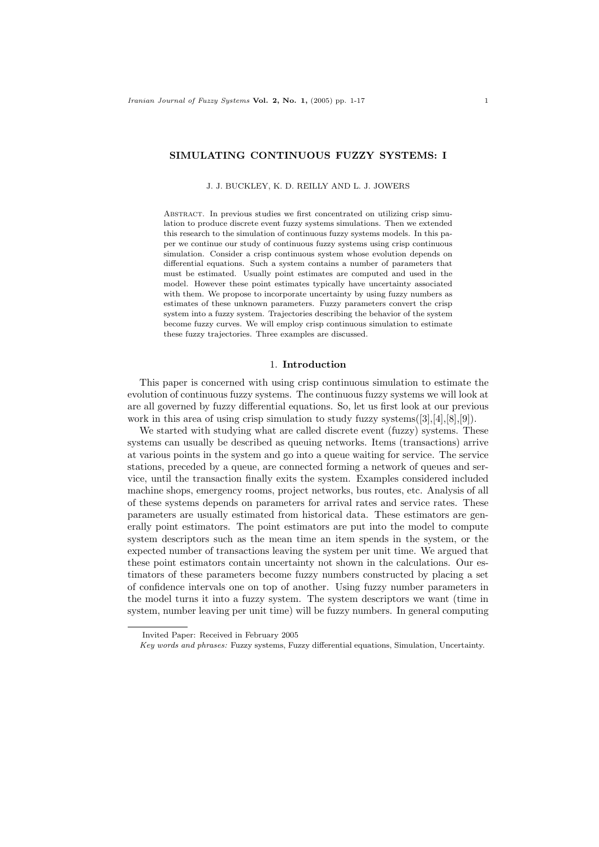## **SIMULATING CONTINUOUS FUZZY SYSTEMS: I**

### J. J. BUCKLEY, K. D. REILLY AND L. J. JOWERS

Abstract. In previous studies we first concentrated on utilizing crisp simulation to produce discrete event fuzzy systems simulations. Then we extended this research to the simulation of continuous fuzzy systems models. In this paper we continue our study of continuous fuzzy systems using crisp continuous simulation. Consider a crisp continuous system whose evolution depends on differential equations. Such a system contains a number of parameters that must be estimated. Usually point estimates are computed and used in the model. However these point estimates typically have uncertainty associated with them. We propose to incorporate uncertainty by using fuzzy numbers as estimates of these unknown parameters. Fuzzy parameters convert the crisp system into a fuzzy system. Trajectories describing the behavior of the system become fuzzy curves. We will employ crisp continuous simulation to estimate these fuzzy trajectories. Three examples are discussed.

#### 1. **Introduction**

This paper is concerned with using crisp continuous simulation to estimate the evolution of continuous fuzzy systems. The continuous fuzzy systems we will look at are all governed by fuzzy differential equations. So, let us first look at our previous work in this area of using crisp simulation to study fuzzy systems  $([3],[4],[8],[9])$ .

We started with studying what are called discrete event (fuzzy) systems. These systems can usually be described as queuing networks. Items (transactions) arrive at various points in the system and go into a queue waiting for service. The service stations, preceded by a queue, are connected forming a network of queues and service, until the transaction finally exits the system. Examples considered included machine shops, emergency rooms, project networks, bus routes, etc. Analysis of all of these systems depends on parameters for arrival rates and service rates. These parameters are usually estimated from historical data. These estimators are generally point estimators. The point estimators are put into the model to compute system descriptors such as the mean time an item spends in the system, or the expected number of transactions leaving the system per unit time. We argued that these point estimators contain uncertainty not shown in the calculations. Our estimators of these parameters become fuzzy numbers constructed by placing a set of confidence intervals one on top of another. Using fuzzy number parameters in the model turns it into a fuzzy system. The system descriptors we want (time in system, number leaving per unit time) will be fuzzy numbers. In general computing

Invited Paper: Received in February 2005

Key words and phrases: Fuzzy systems, Fuzzy differential equations, Simulation, Uncertainty.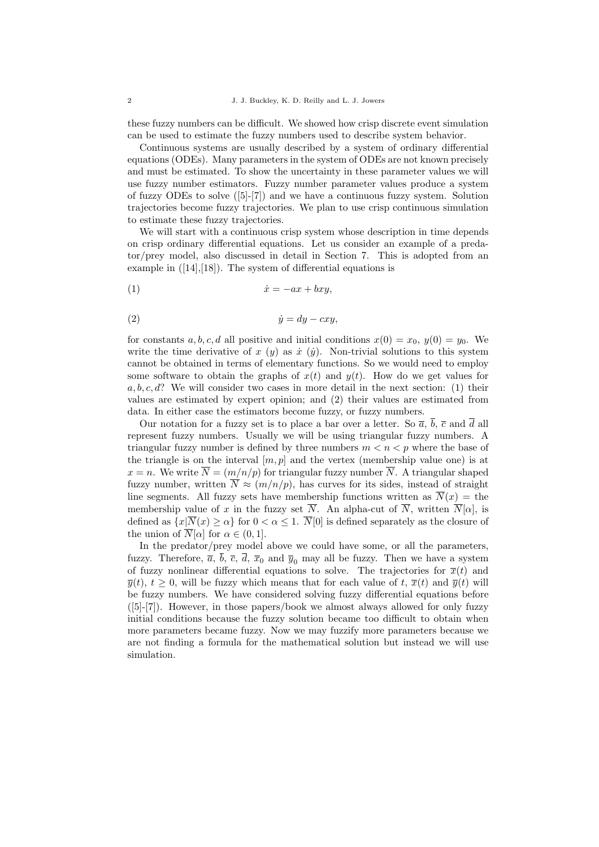these fuzzy numbers can be difficult. We showed how crisp discrete event simulation can be used to estimate the fuzzy numbers used to describe system behavior.

Continuous systems are usually described by a system of ordinary differential equations (ODEs). Many parameters in the system of ODEs are not known precisely and must be estimated. To show the uncertainty in these parameter values we will use fuzzy number estimators. Fuzzy number parameter values produce a system of fuzzy ODEs to solve ([5]-[7]) and we have a continuous fuzzy system. Solution trajectories become fuzzy trajectories. We plan to use crisp continuous simulation to estimate these fuzzy trajectories.

We will start with a continuous crisp system whose description in time depends on crisp ordinary differential equations. Let us consider an example of a predator/prey model, also discussed in detail in Section 7. This is adopted from an example in  $([14],[18])$ . The system of differential equations is

(1) x˙ = −ax + bxy,

(2) ˙y = dy − cxy,

for constants a, b, c, d all positive and initial conditions  $x(0) = x_0, y(0) = y_0$ . We write the time derivative of x (y) as  $\dot{x}$  (y). Non-trivial solutions to this system cannot be obtained in terms of elementary functions. So we would need to employ some software to obtain the graphs of  $x(t)$  and  $y(t)$ . How do we get values for  $a, b, c, d$ ? We will consider two cases in more detail in the next section: (1) their values are estimated by expert opinion; and (2) their values are estimated from data. In either case the estimators become fuzzy, or fuzzy numbers.

Our notation for a fuzzy set is to place a bar over a letter. So  $\overline{a}$ ,  $\overline{b}$ ,  $\overline{c}$  and  $\overline{d}$  all represent fuzzy numbers. Usually we will be using triangular fuzzy numbers. A triangular fuzzy number is defined by three numbers  $m < n < p$  where the base of the triangle is on the interval  $[m, p]$  and the vertex (membership value one) is at  $x = n$ . We write  $\overline{N} = (m/n/p)$  for triangular fuzzy number  $\overline{N}$ . A triangular shaped fuzzy number, written  $\overline{N} \approx (m/n/p)$ , has curves for its sides, instead of straight line segments. All fuzzy sets have membership functions written as  $\overline{N}(x) =$  the membership value of x in the fuzzy set  $\overline{N}$ . An alpha-cut of  $\overline{N}$ , written  $\overline{N}[\alpha]$ , is defined as  $\{x|\overline{N}(x) \ge \alpha\}$  for  $0 < \alpha \le 1$ .  $\overline{N}[0]$  is defined separately as the closure of the union of  $\overline{N}[\alpha]$  for  $\alpha \in (0,1]$ .

In the predator/prey model above we could have some, or all the parameters, fuzzy. Therefore,  $\overline{a}$ ,  $\overline{b}$ ,  $\overline{c}$ ,  $\overline{d}$ ,  $\overline{x}_0$  and  $\overline{y}_0$  may all be fuzzy. Then we have a system of fuzzy nonlinear differential equations to solve. The trajectories for  $\overline{x}(t)$  and  $\overline{y}(t), t \geq 0$ , will be fuzzy which means that for each value of t,  $\overline{x}(t)$  and  $\overline{y}(t)$  will be fuzzy numbers. We have considered solving fuzzy differential equations before ([5]-[7]). However, in those papers/book we almost always allowed for only fuzzy initial conditions because the fuzzy solution became too difficult to obtain when more parameters became fuzzy. Now we may fuzzify more parameters because we are not finding a formula for the mathematical solution but instead we will use simulation.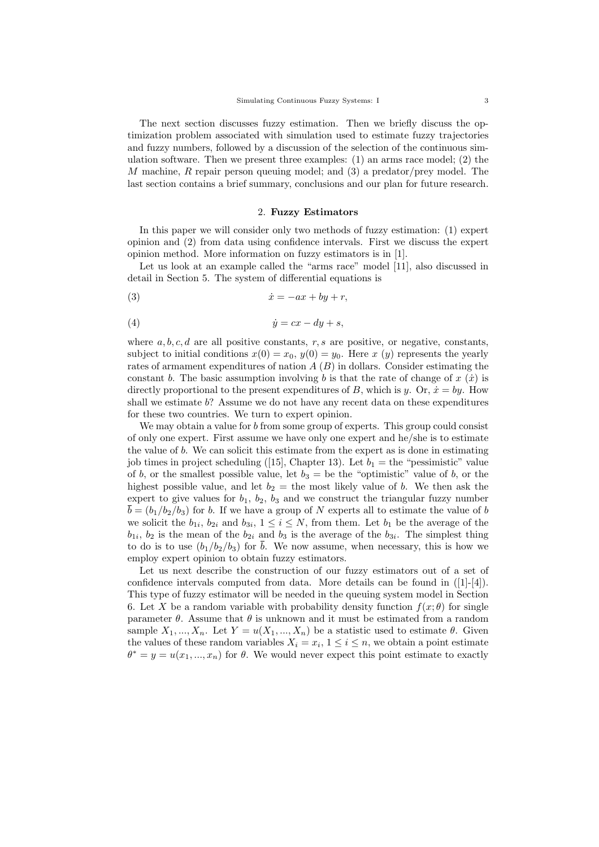The next section discusses fuzzy estimation. Then we briefly discuss the optimization problem associated with simulation used to estimate fuzzy trajectories and fuzzy numbers, followed by a discussion of the selection of the continuous simulation software. Then we present three examples: (1) an arms race model; (2) the M machine, R repair person queuing model; and  $(3)$  a predator/prey model. The last section contains a brief summary, conclusions and our plan for future research.

#### 2. **Fuzzy Estimators**

In this paper we will consider only two methods of fuzzy estimation: (1) expert opinion and (2) from data using confidence intervals. First we discuss the expert opinion method. More information on fuzzy estimators is in [1].

Let us look at an example called the "arms race" model [11], also discussed in detail in Section 5. The system of differential equations is

(3) ˙x = −ax + by + r,

(4) ˙y = cx − dy + s,

where  $a, b, c, d$  are all positive constants,  $r, s$  are positive, or negative, constants, subject to initial conditions  $x(0) = x_0, y(0) = y_0$ . Here x (y) represents the yearly rates of armament expenditures of nation  $A(B)$  in dollars. Consider estimating the constant b. The basic assumption involving b is that the rate of change of  $x(x)$  is directly proportional to the present expenditures of B, which is y. Or,  $\dot{x} = by$ . How shall we estimate b? Assume we do not have any recent data on these expenditures for these two countries. We turn to expert opinion.

We may obtain a value for  $b$  from some group of experts. This group could consist of only one expert. First assume we have only one expert and he/she is to estimate the value of b. We can solicit this estimate from the expert as is done in estimating job times in project scheduling ([15], Chapter 13). Let  $b_1 =$  the "pessimistic" value of b, or the smallest possible value, let  $b_3 =$  be the "optimistic" value of b, or the highest possible value, and let  $b_2 =$  the most likely value of b. We then ask the expert to give values for  $b_1$ ,  $b_2$ ,  $b_3$  and we construct the triangular fuzzy number  $b = (b_1/b_2/b_3)$  for b. If we have a group of N experts all to estimate the value of b we solicit the  $b_{1i}$ ,  $b_{2i}$  and  $b_{3i}$ ,  $1 \leq i \leq N$ , from them. Let  $b_1$  be the average of the  $b_{1i}$ ,  $b_2$  is the mean of the  $b_{2i}$  and  $b_3$  is the average of the  $b_{3i}$ . The simplest thing to do is to use  $(b_1/b_2/b_3)$  for  $\overline{b}$ . We now assume, when necessary, this is how we employ expert opinion to obtain fuzzy estimators.

Let us next describe the construction of our fuzzy estimators out of a set of confidence intervals computed from data. More details can be found in  $([1]-[4])$ . This type of fuzzy estimator will be needed in the queuing system model in Section 6. Let X be a random variable with probability density function  $f(x; \theta)$  for single parameter  $\theta$ . Assume that  $\theta$  is unknown and it must be estimated from a random sample  $X_1, ..., X_n$ . Let  $Y = u(X_1, ..., X_n)$  be a statistic used to estimate  $\theta$ . Given the values of these random variables  $X_i = x_i$ ,  $1 \leq i \leq n$ , we obtain a point estimate  $\theta^* = y = u(x_1, ..., x_n)$  for  $\theta$ . We would never expect this point estimate to exactly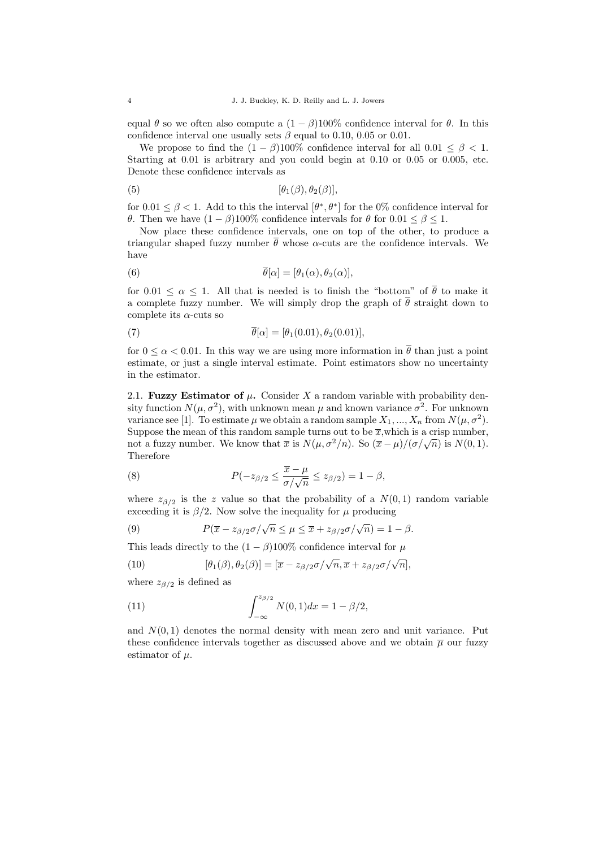equal  $\theta$  so we often also compute a  $(1 - \beta)100\%$  confidence interval for  $\theta$ . In this confidence interval one usually sets  $\beta$  equal to 0.10, 0.05 or 0.01.

We propose to find the  $(1 - \beta)100\%$  confidence interval for all  $0.01 \le \beta < 1$ . Starting at 0.01 is arbitrary and you could begin at 0.10 or 0.05 or 0.005, etc. Denote these confidence intervals as

$$
[\theta_1(\beta), \theta_2(\beta)],
$$

for  $0.01 \leq \beta < 1$ . Add to this the interval  $[\theta^*, \theta^*]$  for the 0% confidence interval for θ. Then we have  $(1 - β)100\%$  confidence intervals for θ for  $0.01 ≤ β ≤ 1$ .

Now place these confidence intervals, one on top of the other, to produce a triangular shaped fuzzy number  $\bar{\theta}$  whose  $\alpha$ -cuts are the confidence intervals. We have

(6) 
$$
\overline{\theta}[\alpha] = [\theta_1(\alpha), \theta_2(\alpha)],
$$

for  $0.01 \leq \alpha \leq 1$ . All that is needed is to finish the "bottom" of  $\overline{\theta}$  to make it a complete fuzzy number. We will simply drop the graph of  $\overline{\theta}$  straight down to complete its  $\alpha$ -cuts so

(7) 
$$
\overline{\theta}[\alpha] = [\theta_1(0.01), \theta_2(0.01)],
$$

for  $0 \le \alpha < 0.01$ . In this way we are using more information in  $\overline{\theta}$  than just a point estimate, or just a single interval estimate. Point estimators show no uncertainty in the estimator.

2.1. **Fuzzy Estimator of**  $\mu$ . Consider X a random variable with probability density function  $N(\mu, \sigma^2)$ , with unknown mean  $\mu$  and known variance  $\sigma^2$ . For unknown variance see [1]. To estimate  $\mu$  we obtain a random sample  $X_1, ..., X_n$  from  $N(\mu, \sigma^2)$ . Suppose the mean of this random sample turns out to be  $\overline{x}$ , which is a crisp number, not a fuzzy number. We know that  $\bar{x}$  is  $N(\mu, \sigma^2/n)$ . So  $(\bar{x} - \mu)/(\sigma/\sqrt{n})$  is  $N(0, 1)$ . Therefore

(8) 
$$
P(-z_{\beta/2} \leq \frac{\overline{x} - \mu}{\sigma/\sqrt{n}} \leq z_{\beta/2}) = 1 - \beta,
$$

where  $z_{\beta/2}$  is the z value so that the probability of a  $N(0, 1)$  random variable exceeding it is  $\beta/2$ . Now solve the inequality for  $\mu$  producing

(9) 
$$
P(\overline{x} - z_{\beta/2} \sigma/\sqrt{n} \le \mu \le \overline{x} + z_{\beta/2} \sigma/\sqrt{n}) = 1 - \beta.
$$

This leads directly to the  $(1 - \beta)100\%$  confidence interval for  $\mu$ 

(10) 
$$
[\theta_1(\beta), \theta_2(\beta)] = [\overline{x} - z_{\beta/2}\sigma/\sqrt{n}, \overline{x} + z_{\beta/2}\sigma/\sqrt{n}],
$$

where  $z_{\beta/2}$  is defined as

(11) 
$$
\int_{-\infty}^{z_{\beta/2}} N(0,1) dx = 1 - \beta/2,
$$

and  $N(0, 1)$  denotes the normal density with mean zero and unit variance. Put these confidence intervals together as discussed above and we obtain  $\bar{\mu}$  our fuzzy estimator of  $\mu$ .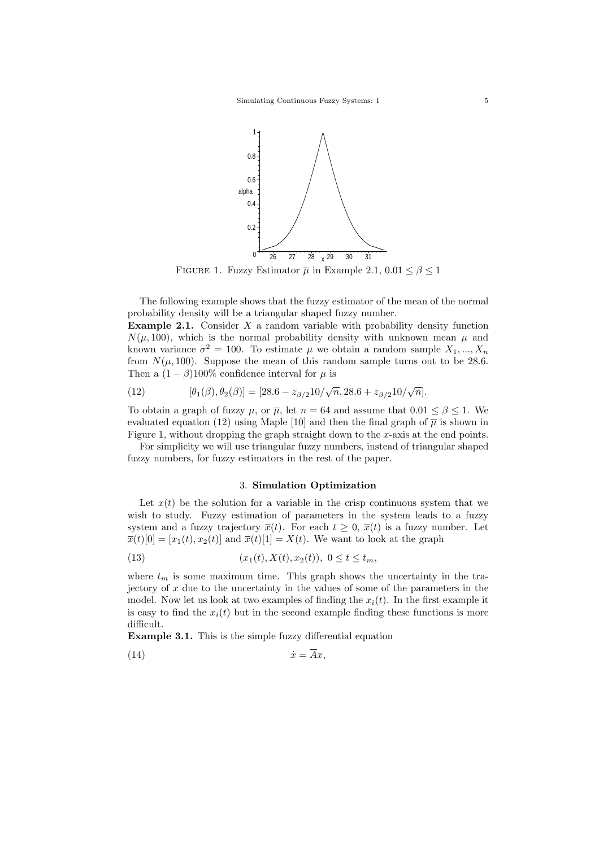

FIGURE 1. Fuzzy Estimator  $\overline{\mu}$  in Example 2.1,  $0.01 \leq \beta \leq 1$ 

The following example shows that the fuzzy estimator of the mean of the normal probability density will be a triangular shaped fuzzy number.

**Example 2.1.** Consider  $X$  a random variable with probability density function  $N(\mu, 100)$ , which is the normal probability density with unknown mean  $\mu$  and known variance  $\sigma^2 = 100$ . To estimate  $\mu$  we obtain a random sample  $X_1, ..., X_n$ from  $N(\mu, 100)$ . Suppose the mean of this random sample turns out to be 28.6. Then a  $(1 - \beta)100\%$  confidence interval for  $\mu$  is

(12) 
$$
[\theta_1(\beta), \theta_2(\beta)] = [28.6 - z_{\beta/2}10/\sqrt{n}, 28.6 + z_{\beta/2}10/\sqrt{n}].
$$

To obtain a graph of fuzzy  $\mu$ , or  $\overline{\mu}$ , let  $n = 64$  and assume that  $0.01 \le \beta \le 1$ . We evaluated equation (12) using Maple [10] and then the final graph of  $\overline{\mu}$  is shown in Figure 1, without dropping the graph straight down to the  $x$ -axis at the end points.

For simplicity we will use triangular fuzzy numbers, instead of triangular shaped fuzzy numbers, for fuzzy estimators in the rest of the paper.

### 3. **Simulation Optimization**

Let  $x(t)$  be the solution for a variable in the crisp continuous system that we wish to study. Fuzzy estimation of parameters in the system leads to a fuzzy system and a fuzzy trajectory  $\overline{x}(t)$ . For each  $t \geq 0$ ,  $\overline{x}(t)$  is a fuzzy number. Let  $\overline{x}(t)[0] = [x_1(t), x_2(t)]$  and  $\overline{x}(t)[1] = X(t)$ . We want to look at the graph

(13) 
$$
(x_1(t), X(t), x_2(t)), 0 \le t \le t_m,
$$

where  $t_m$  is some maximum time. This graph shows the uncertainty in the trajectory of  $x$  due to the uncertainty in the values of some of the parameters in the model. Now let us look at two examples of finding the  $x_i(t)$ . In the first example it is easy to find the  $x_i(t)$  but in the second example finding these functions is more difficult.

**Example 3.1.** This is the simple fuzzy differential equation

$$
(14) \t\t \dot{x} = \overline{A}x,
$$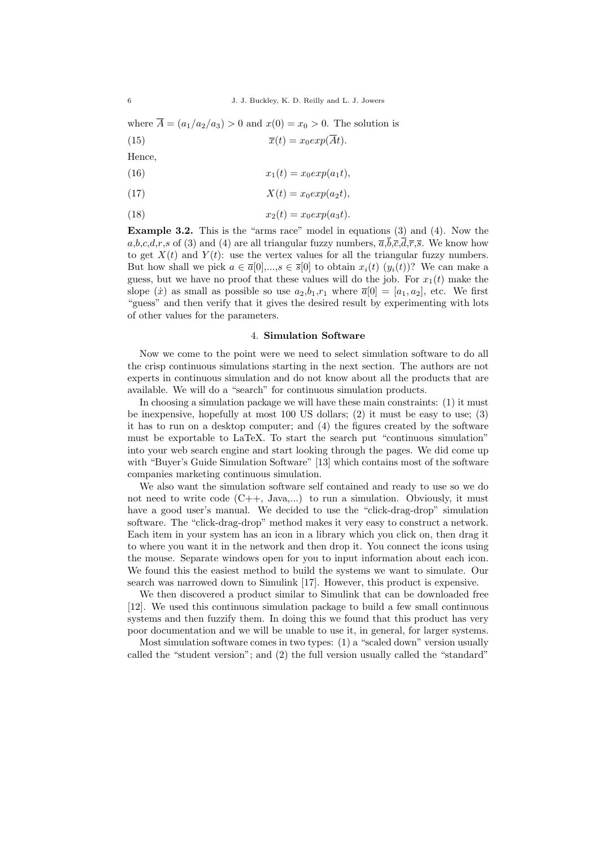where  $\overline{A} = (a_1/a_2/a_3) > 0$  and  $x(0) = x_0 > 0$ . The solution is (15)  $\overline{x}(t) = x_0 exp(\overline{A}t).$ 

Hence,

(16) 
$$
x_1(t) = x_0 \exp(a_1 t),
$$

(17) 
$$
X(t) = x_0 exp(a_2 t),
$$

$$
(18) \t\t x2(t) = x0 exp(a3t).
$$

**Example 3.2.** This is the "arms race" model in equations (3) and (4). Now the  $a,b,c,d,r,s$  of (3) and (4) are all triangular fuzzy numbers,  $\overline{a},\overline{b},\overline{c},\overline{d},\overline{r},\overline{s}$ . We know how to get  $X(t)$  and  $Y(t)$ : use the vertex values for all the triangular fuzzy numbers. But how shall we pick  $a \in \overline{\alpha}[0],...,s \in \overline{s}[0]$  to obtain  $x_i(t)(y_i(t))$ ? We can make a guess, but we have no proof that these values will do the job. For  $x_1(t)$  make the slope  $(\dot{x})$  as small as possible so use  $a_2,b_1,r_1$  where  $\overline{a}[0] = [a_1,a_2]$ , etc. We first "guess" and then verify that it gives the desired result by experimenting with lots of other values for the parameters.

## 4. **Simulation Software**

Now we come to the point were we need to select simulation software to do all the crisp continuous simulations starting in the next section. The authors are not experts in continuous simulation and do not know about all the products that are available. We will do a "search" for continuous simulation products.

In choosing a simulation package we will have these main constraints: (1) it must be inexpensive, hopefully at most 100 US dollars; (2) it must be easy to use; (3) it has to run on a desktop computer; and (4) the figures created by the software must be exportable to LaTeX. To start the search put "continuous simulation" into your web search engine and start looking through the pages. We did come up with "Buyer's Guide Simulation Software" [13] which contains most of the software companies marketing continuous simulation.

We also want the simulation software self contained and ready to use so we do not need to write code  $(C_{++}, \text{Java}, ...)$  to run a simulation. Obviously, it must have a good user's manual. We decided to use the "click-drag-drop" simulation software. The "click-drag-drop" method makes it very easy to construct a network. Each item in your system has an icon in a library which you click on, then drag it to where you want it in the network and then drop it. You connect the icons using the mouse. Separate windows open for you to input information about each icon. We found this the easiest method to build the systems we want to simulate. Our search was narrowed down to Simulink [17]. However, this product is expensive.

We then discovered a product similar to Simulink that can be downloaded free [12]. We used this continuous simulation package to build a few small continuous systems and then fuzzify them. In doing this we found that this product has very poor documentation and we will be unable to use it, in general, for larger systems.

Most simulation software comes in two types: (1) a "scaled down" version usually called the "student version"; and (2) the full version usually called the "standard"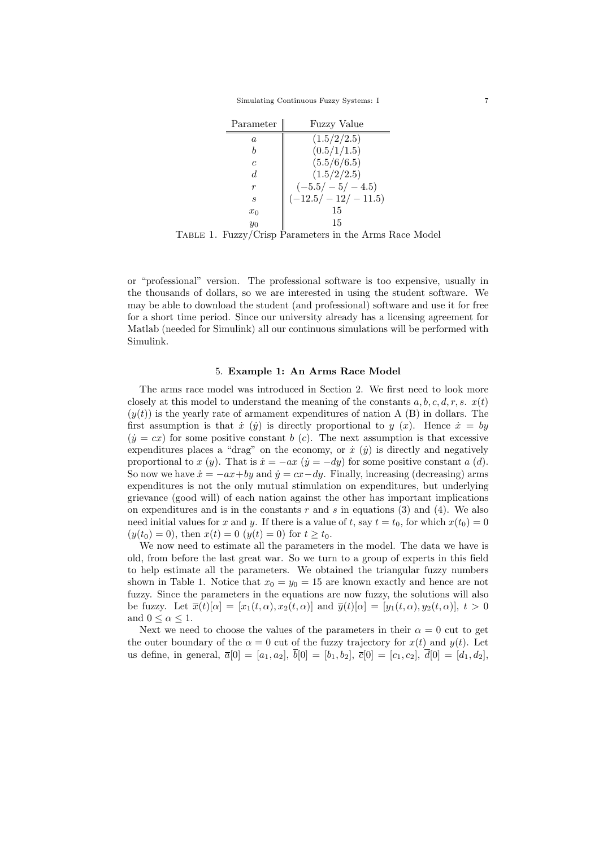Simulating Continuous Fuzzy Systems: I 7

| Parameter        | <b>Fuzzy Value</b>  |
|------------------|---------------------|
| $\boldsymbol{a}$ | (1.5/2/2.5)         |
|                  | (0.5/1/1.5)         |
| c                | (5.5/6/6.5)         |
| d                | (1.5/2/2.5)         |
| r                | $(-5.5/-5/-4.5)$    |
| S                | $(-12.5/-12/-11.5)$ |
| $x_0$            | 15                  |
| $y_0$            | 15                  |

Table 1. Fuzzy/Crisp Parameters in the Arms Race Model

or "professional" version. The professional software is too expensive, usually in the thousands of dollars, so we are interested in using the student software. We may be able to download the student (and professional) software and use it for free for a short time period. Since our university already has a licensing agreement for Matlab (needed for Simulink) all our continuous simulations will be performed with Simulink.

### 5. **Example 1: An Arms Race Model**

The arms race model was introduced in Section 2. We first need to look more closely at this model to understand the meaning of the constants  $a, b, c, d, r, s$ .  $x(t)$  $(y(t))$  is the yearly rate of armament expenditures of nation A (B) in dollars. The first assumption is that  $\dot{x}$  ( $\dot{y}$ ) is directly proportional to  $y(x)$ . Hence  $\dot{x} = by$  $(\dot{y} = cx)$  for some positive constant b (c). The next assumption is that excessive expenditures places a "drag" on the economy, or  $\dot{x}$  ( $\dot{y}$ ) is directly and negatively proportional to x (y). That is  $\dot{x} = -ax$  ( $\dot{y} = -dy$ ) for some positive constant a (d). So now we have  $\dot{x} = -ax+by$  and  $\dot{y} = cx-dy$ . Finally, increasing (decreasing) arms expenditures is not the only mutual stimulation on expenditures, but underlying grievance (good will) of each nation against the other has important implications on expenditures and is in the constants  $r$  and  $s$  in equations (3) and (4). We also need initial values for x and y. If there is a value of t, say  $t = t_0$ , for which  $x(t_0) = 0$  $(y(t_0) = 0)$ , then  $x(t) = 0$   $(y(t) = 0)$  for  $t > t_0$ .

We now need to estimate all the parameters in the model. The data we have is old, from before the last great war. So we turn to a group of experts in this field to help estimate all the parameters. We obtained the triangular fuzzy numbers shown in Table 1. Notice that  $x_0 = y_0 = 15$  are known exactly and hence are not fuzzy. Since the parameters in the equations are now fuzzy, the solutions will also be fuzzy. Let  $\overline{x}(t)[\alpha] = [x_1(t, \alpha), x_2(t, \alpha)]$  and  $\overline{y}(t)[\alpha] = [y_1(t, \alpha), y_2(t, \alpha)], t > 0$ and  $0 \leq \alpha \leq 1$ .

Next we need to choose the values of the parameters in their  $\alpha = 0$  cut to get the outer boundary of the  $\alpha = 0$  cut of the fuzzy trajectory for  $x(t)$  and  $y(t)$ . Let us define, in general,  $\overline{a}[0] = [a_1, a_2], \overline{b}[0] = [b_1, b_2], \overline{c}[0] = [c_1, c_2], \overline{d}[0] = [d_1, d_2],$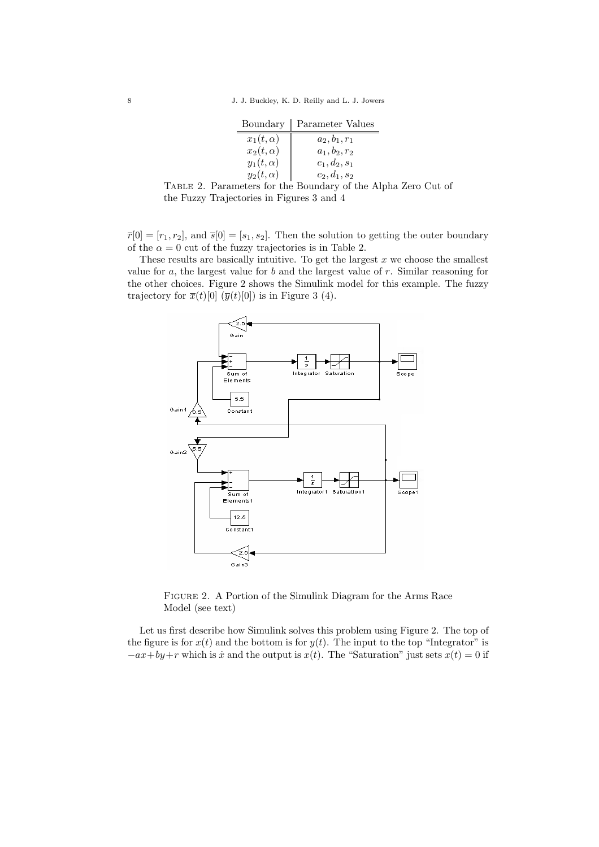|                 | Boundary    Parameter Values |
|-----------------|------------------------------|
| $x_1(t,\alpha)$ | $a_2, b_1, r_1$              |
| $x_2(t,\alpha)$ | $a_1, b_2, r_2$              |
| $y_1(t,\alpha)$ | $c_1, d_2, s_1$              |
| $y_2(t,\alpha)$ | $c_2, d_1, s_2$              |
|                 |                              |



 $\overline{r}[0] = [r_1, r_2]$ , and  $\overline{s}[0] = [s_1, s_2]$ . Then the solution to getting the outer boundary of the  $\alpha = 0$  cut of the fuzzy trajectories is in Table 2.

These results are basically intuitive. To get the largest  $x$  we choose the smallest value for  $a$ , the largest value for  $b$  and the largest value of  $r$ . Similar reasoning for the other choices. Figure 2 shows the Simulink model for this example. The fuzzy trajectory for  $\overline{x}(t)[0]$   $(\overline{y}(t)[0])$  is in Figure 3 (4).



Figure 2. A Portion of the Simulink Diagram for the Arms Race Model (see text)

Let us first describe how Simulink solves this problem using Figure 2. The top of the figure is for  $x(t)$  and the bottom is for  $y(t)$ . The input to the top "Integrator" is  $-ax+by+r$  which is  $\dot{x}$  and the output is  $x(t)$ . The "Saturation" just sets  $x(t) = 0$  if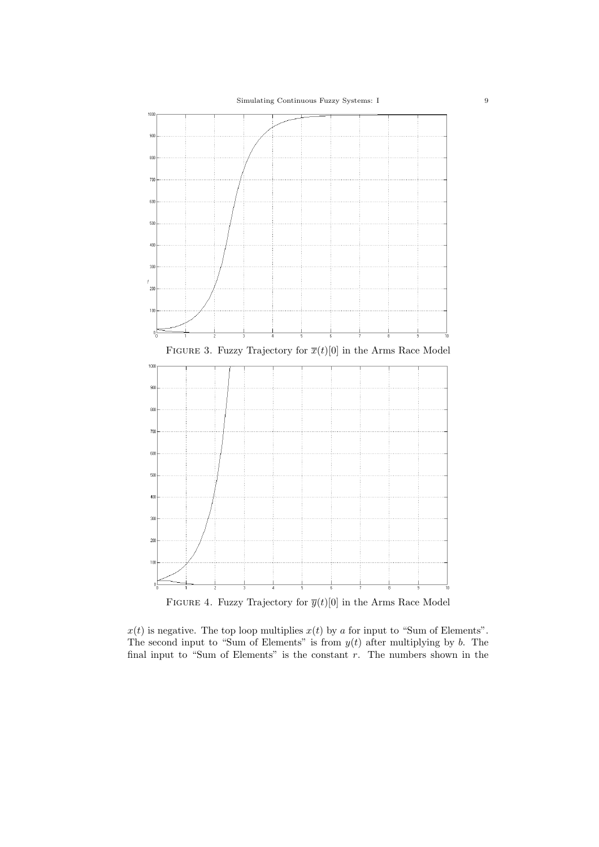

FIGURE 4. Fuzzy Trajectory for  $\overline{y}(t)[0]$  in the Arms Race Model

 $x(t)$  is negative. The top loop multiplies  $x(t)$  by a for input to "Sum of Elements". The second input to "Sum of Elements" is from  $y(t)$  after multiplying by b. The final input to "Sum of Elements" is the constant  $r$ . The numbers shown in the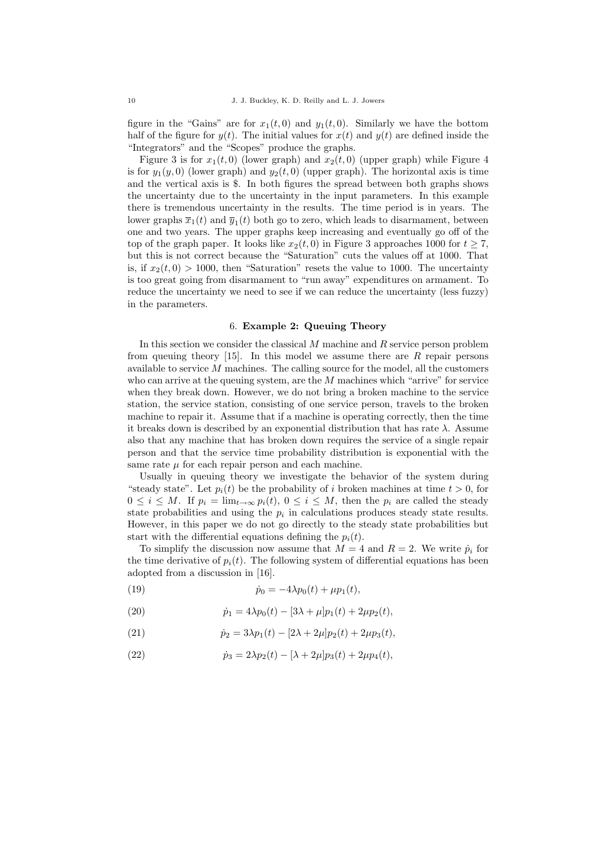figure in the "Gains" are for  $x_1(t, 0)$  and  $y_1(t, 0)$ . Similarly we have the bottom half of the figure for  $y(t)$ . The initial values for  $x(t)$  and  $y(t)$  are defined inside the "Integrators" and the "Scopes" produce the graphs.

Figure 3 is for  $x_1(t, 0)$  (lower graph) and  $x_2(t, 0)$  (upper graph) while Figure 4 is for  $y_1(y, 0)$  (lower graph) and  $y_2(t, 0)$  (upper graph). The horizontal axis is time and the vertical axis is \$. In both figures the spread between both graphs shows the uncertainty due to the uncertainty in the input parameters. In this example there is tremendous uncertainty in the results. The time period is in years. The lower graphs  $\overline{x}_1(t)$  and  $\overline{y}_1(t)$  both go to zero, which leads to disarmament, between one and two years. The upper graphs keep increasing and eventually go off of the top of the graph paper. It looks like  $x_2(t, 0)$  in Figure 3 approaches 1000 for  $t \ge 7$ , but this is not correct because the "Saturation" cuts the values off at 1000. That is, if  $x_2(t, 0) > 1000$ , then "Saturation" resets the value to 1000. The uncertainty is too great going from disarmament to "run away" expenditures on armament. To reduce the uncertainty we need to see if we can reduce the uncertainty (less fuzzy) in the parameters.

#### 6. **Example 2: Queuing Theory**

In this section we consider the classical M machine and R service person problem from queuing theory  $[15]$ . In this model we assume there are R repair persons available to service  $M$  machines. The calling source for the model, all the customers who can arrive at the queuing system, are the M machines which "arrive" for service when they break down. However, we do not bring a broken machine to the service station, the service station, consisting of one service person, travels to the broken machine to repair it. Assume that if a machine is operating correctly, then the time it breaks down is described by an exponential distribution that has rate  $\lambda$ . Assume also that any machine that has broken down requires the service of a single repair person and that the service time probability distribution is exponential with the same rate  $\mu$  for each repair person and each machine.

Usually in queuing theory we investigate the behavior of the system during "steady state". Let  $p_i(t)$  be the probability of i broken machines at time  $t > 0$ , for  $0 \leq i \leq M$ . If  $p_i = \lim_{t \to \infty} p_i(t)$ ,  $0 \leq i \leq M$ , then the  $p_i$  are called the steady state probabilities and using the  $p_i$  in calculations produces steady state results. However, in this paper we do not go directly to the steady state probabilities but start with the differential equations defining the  $p_i(t)$ .

To simplify the discussion now assume that  $M = 4$  and  $R = 2$ . We write  $\dot{p}_i$  for the time derivative of  $p_i(t)$ . The following system of differential equations has been adopted from a discussion in [16].

(19) 
$$
\dot{p}_0 = -4\lambda p_0(t) + \mu p_1(t),
$$

(20) 
$$
\dot{p}_1 = 4\lambda p_0(t) - [3\lambda + \mu]p_1(t) + 2\mu p_2(t),
$$

(21) 
$$
\dot{p}_2 = 3\lambda p_1(t) - [2\lambda + 2\mu]p_2(t) + 2\mu p_3(t),
$$

(22) 
$$
\dot{p}_3 = 2\lambda p_2(t) - [\lambda + 2\mu]p_3(t) + 2\mu p_4(t),
$$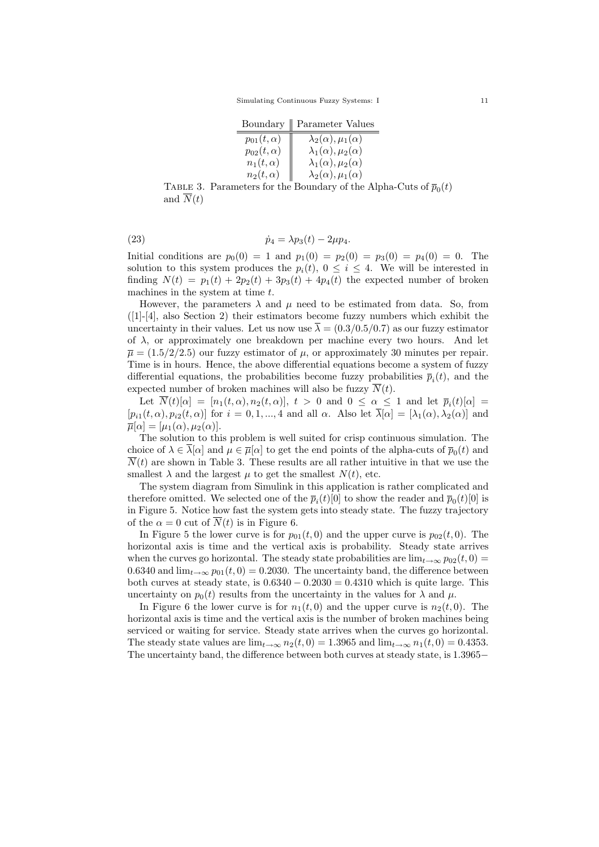|                    | Boundary    Parameter Values       |
|--------------------|------------------------------------|
| $p_{01}(t,\alpha)$ | $\lambda_2(\alpha), \mu_1(\alpha)$ |
| $p_{02}(t,\alpha)$ | $\lambda_1(\alpha), \mu_2(\alpha)$ |
| $n_1(t,\alpha)$    | $\lambda_1(\alpha), \mu_2(\alpha)$ |
| $n_2(t,\alpha)$    | $\lambda_2(\alpha), \mu_1(\alpha)$ |
|                    |                                    |

TABLE 3. Parameters for the Boundary of the Alpha-Cuts of  $\overline{p}_0(t)$ and  $\overline{N}(t)$ 

(23) 
$$
\dot{p}_4 = \lambda p_3(t) - 2\mu p_4.
$$

Initial conditions are  $p_0(0) = 1$  and  $p_1(0) = p_2(0) = p_3(0) = p_4(0) = 0$ . The solution to this system produces the  $p_i(t)$ ,  $0 \leq i \leq 4$ . We will be interested in finding  $N(t) = p_1(t) + 2p_2(t) + 3p_3(t) + 4p_4(t)$  the expected number of broken machines in the system at time  $t$ .

However, the parameters  $\lambda$  and  $\mu$  need to be estimated from data. So, from  $([1]-[4]$ , also Section 2) their estimators become fuzzy numbers which exhibit the uncertainty in their values. Let us now use  $\overline{\lambda} = (0.3/0.5/0.7)$  as our fuzzy estimator of  $\lambda$ , or approximately one breakdown per machine every two hours. And let  $\overline{\mu} = (1.5/2/2.5)$  our fuzzy estimator of  $\mu$ , or approximately 30 minutes per repair. Time is in hours. Hence, the above differential equations become a system of fuzzy differential equations, the probabilities become fuzzy probabilities  $\bar{p}_i(t)$ , and the expected number of broken machines will also be fuzzy  $\overline{N}(t)$ .

Let  $\overline{N}(t)[\alpha] = [n_1(t, \alpha), n_2(t, \alpha)], t > 0$  and  $0 \leq \alpha \leq 1$  and let  $\overline{p}_i(t)[\alpha] =$  $[p_{i1}(t, \alpha), p_{i2}(t, \alpha)]$  for  $i = 0, 1, ..., 4$  and all  $\alpha$ . Also let  $\overline{\lambda}[\alpha] = [\lambda_1(\alpha), \lambda_2(\alpha)]$  and  $\overline{\mu}[\alpha] = [\mu_1(\alpha), \mu_2(\alpha)].$ 

The solution to this problem is well suited for crisp continuous simulation. The choice of  $\lambda \in \overline{\lambda}[\alpha]$  and  $\mu \in \overline{\mu}[\alpha]$  to get the end points of the alpha-cuts of  $\overline{p}_0(t)$  and  $\overline{N}(t)$  are shown in Table 3. These results are all rather intuitive in that we use the smallest  $\lambda$  and the largest  $\mu$  to get the smallest  $N(t)$ , etc.

The system diagram from Simulink in this application is rather complicated and therefore omitted. We selected one of the  $\bar{p}_i(t)[0]$  to show the reader and  $\bar{p}_0(t)[0]$  is in Figure 5. Notice how fast the system gets into steady state. The fuzzy trajectory of the  $\alpha = 0$  cut of  $\overline{N}(t)$  is in Figure 6.

In Figure 5 the lower curve is for  $p_{01}(t, 0)$  and the upper curve is  $p_{02}(t, 0)$ . The horizontal axis is time and the vertical axis is probability. Steady state arrives when the curves go horizontal. The steady state probabilities are  $\lim_{t\to\infty} p_{02}(t,0)$  = 0.6340 and  $\lim_{t\to\infty} p_{01}(t,0) = 0.2030$ . The uncertainty band, the difference between both curves at steady state, is  $0.6340 - 0.2030 = 0.4310$  which is quite large. This uncertainty on  $p_0(t)$  results from the uncertainty in the values for  $\lambda$  and  $\mu$ .

In Figure 6 the lower curve is for  $n_1(t, 0)$  and the upper curve is  $n_2(t, 0)$ . The horizontal axis is time and the vertical axis is the number of broken machines being serviced or waiting for service. Steady state arrives when the curves go horizontal. The steady state values are  $\lim_{t\to\infty} n_2(t,0) = 1.3965$  and  $\lim_{t\to\infty} n_1(t,0) = 0.4353$ . The uncertainty band, the difference between both curves at steady state, is 1.3965−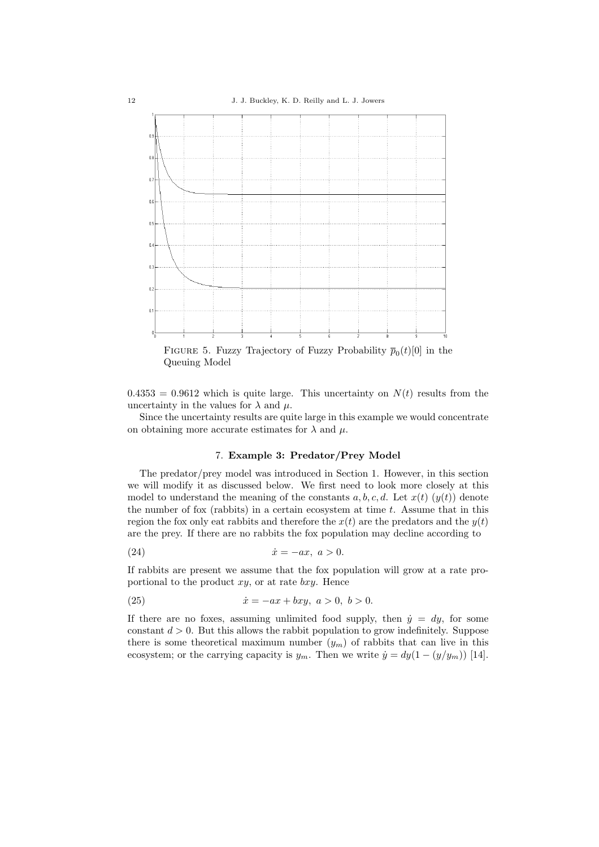

FIGURE 5. Fuzzy Trajectory of Fuzzy Probability  $\overline{p}_0(t)[0]$  in the Queuing Model

 $0.4353 = 0.9612$  which is quite large. This uncertainty on  $N(t)$  results from the uncertainty in the values for  $\lambda$  and  $\mu$ .

Since the uncertainty results are quite large in this example we would concentrate on obtaining more accurate estimates for  $\lambda$  and  $\mu$ .

# 7. **Example 3: Predator/Prey Model**

The predator/prey model was introduced in Section 1. However, in this section we will modify it as discussed below. We first need to look more closely at this model to understand the meaning of the constants  $a, b, c, d$ . Let  $x(t)$   $(y(t))$  denote the number of fox (rabbits) in a certain ecosystem at time  $t$ . Assume that in this region the fox only eat rabbits and therefore the  $x(t)$  are the predators and the  $y(t)$ are the prey. If there are no rabbits the fox population may decline according to

$$
(24) \t\t\t \dot{x} = -ax, \t a > 0.
$$

If rabbits are present we assume that the fox population will grow at a rate proportional to the product  $xy$ , or at rate  $bxy$ . Hence

(25) 
$$
\dot{x} = -ax + bxy, \ a > 0, \ b > 0.
$$

If there are no foxes, assuming unlimited food supply, then  $\dot{y} = dy$ , for some constant  $d > 0$ . But this allows the rabbit population to grow indefinitely. Suppose there is some theoretical maximum number  $(y_m)$  of rabbits that can live in this ecosystem; or the carrying capacity is  $y_m$ . Then we write  $\dot{y} = dy(1 - (y/y_m))$  [14].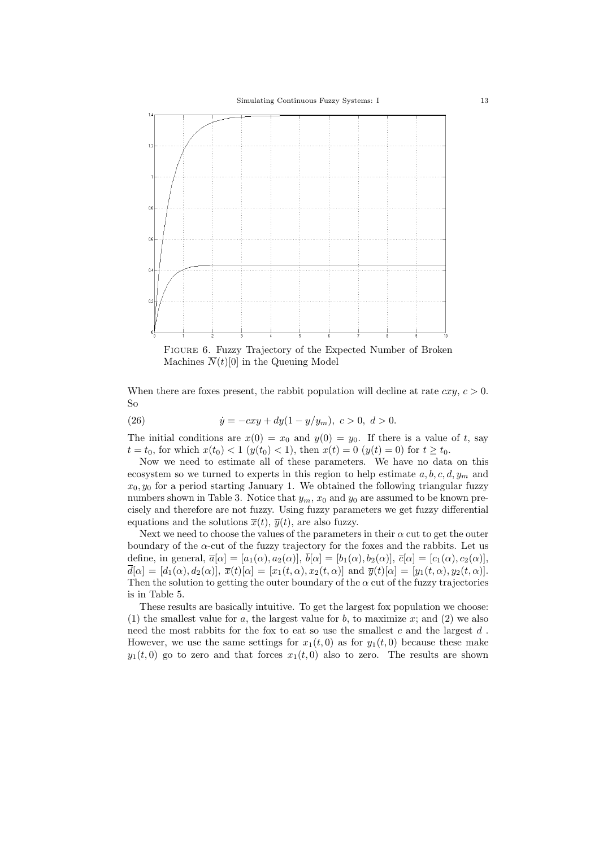

Figure 6. Fuzzy Trajectory of the Expected Number of Broken Machines  $\overline{N}(t)[0]$  in the Queuing Model

When there are foxes present, the rabbit population will decline at rate  $cxy$ ,  $c > 0$ . So

(26) 
$$
\dot{y} = -cxy + dy(1 - y/y_m), \ c > 0, \ d > 0.
$$

The initial conditions are  $x(0) = x_0$  and  $y(0) = y_0$ . If there is a value of t, say  $t = t_0$ , for which  $x(t_0) < 1$  ( $y(t_0) < 1$ ), then  $x(t) = 0$  ( $y(t) = 0$ ) for  $t \ge t_0$ .

Now we need to estimate all of these parameters. We have no data on this ecosystem so we turned to experts in this region to help estimate  $a, b, c, d, y_m$  and  $x_0, y_0$  for a period starting January 1. We obtained the following triangular fuzzy numbers shown in Table 3. Notice that  $y_m$ ,  $x_0$  and  $y_0$  are assumed to be known precisely and therefore are not fuzzy. Using fuzzy parameters we get fuzzy differential equations and the solutions  $\overline{x}(t)$ ,  $\overline{y}(t)$ , are also fuzzy.

Next we need to choose the values of the parameters in their  $\alpha$  cut to get the outer boundary of the  $\alpha$ -cut of the fuzzy trajectory for the foxes and the rabbits. Let us define, in general,  $\overline{a}[\alpha]=[a_1(\alpha), a_2(\alpha)], \overline{b}[\alpha]=[b_1(\alpha), b_2(\alpha)], \overline{c}[\alpha]=[c_1(\alpha), c_2(\alpha)],$  $\overline{d}[\alpha]=[d_1(\alpha), d_2(\alpha)], \overline{x}(t)[\alpha]=[x_1(t, \alpha), x_2(t, \alpha)]$  and  $\overline{y}(t)[\alpha]=[y_1(t, \alpha), y_2(t, \alpha)]$ . Then the solution to getting the outer boundary of the  $\alpha$  cut of the fuzzy trajectories is in Table 5.

These results are basically intuitive. To get the largest fox population we choose: (1) the smallest value for a, the largest value for b, to maximize  $x$ ; and (2) we also need the most rabbits for the fox to eat so use the smallest  $c$  and the largest  $d$ . However, we use the same settings for  $x_1(t, 0)$  as for  $y_1(t, 0)$  because these make  $y_1(t, 0)$  go to zero and that forces  $x_1(t, 0)$  also to zero. The results are shown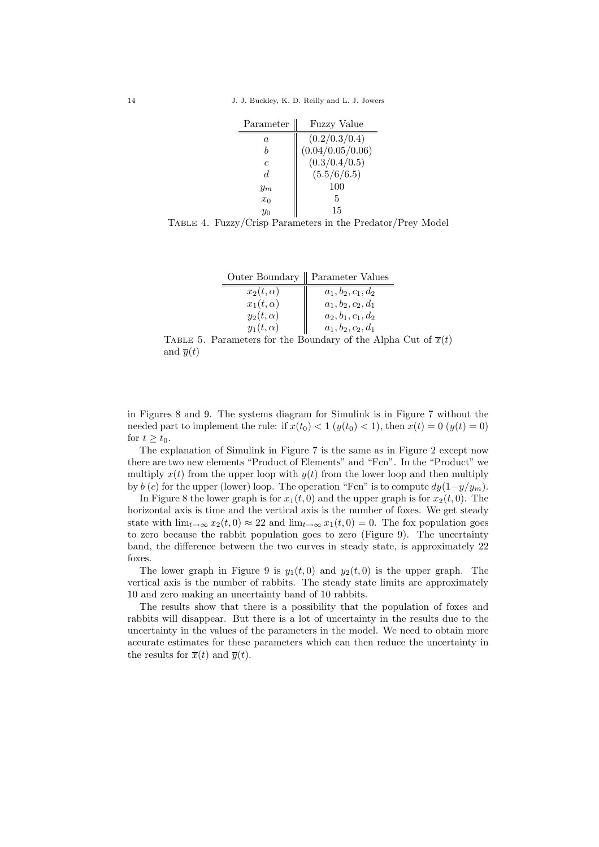| Parameter      | <b>Fuzzy Value</b> |
|----------------|--------------------|
| a              | (0.2/0.3/0.4)      |
| h              | (0.04/0.05/0.06)   |
| $\overline{c}$ | (0.3/0.4/0.5)      |
| d.             | (5.5/6/6.5)        |
| $y_m$          | 100                |
| $x_0$          | 5                  |
| $y_0$          | 15                 |

Table 4. Fuzzy/Crisp Parameters in the Predator/Prey Model

|                 | Outer Boundary    Parameter Values |
|-----------------|------------------------------------|
| $x_2(t,\alpha)$ | $a_1, b_2, c_1, d_2$               |
| $x_1(t,\alpha)$ | $a_1, b_2, c_2, d_1$               |
| $y_2(t,\alpha)$ | $a_2, b_1, c_1, d_2$               |
| $y_1(t,\alpha)$ | $a_1, b_2, c_2, d_1$               |

TABLE 5. Parameters for the Boundary of the Alpha Cut of  $\overline{x}(t)$ and  $\overline{y}(t)$ 

in Figures 8 and 9. The systems diagram for Simulink is in Figure 7 without the needed part to implement the rule: if  $x(t_0) < 1$  ( $y(t_0) < 1$ ), then  $x(t) = 0$  ( $y(t) = 0$ ) for  $t > t_0$ .

The explanation of Simulink in Figure 7 is the same as in Figure 2 except now there are two new elements "Product of Elements" and "Fcn". In the "Product" we multiply  $x(t)$  from the upper loop with  $y(t)$  from the lower loop and then multiply by b (c) for the upper (lower) loop. The operation "Fcn" is to compute  $dy(1-y/y_m)$ .

In Figure 8 the lower graph is for  $x_1(t, 0)$  and the upper graph is for  $x_2(t, 0)$ . The horizontal axis is time and the vertical axis is the number of foxes. We get steady state with  $\lim_{t\to\infty}x_2(t,0)\approx 22$  and  $\lim_{t\to\infty}x_1(t,0)=0$ . The fox population goes to zero because the rabbit population goes to zero (Figure 9). The uncertainty band, the difference between the two curves in steady state, is approximately 22 foxes.

The lower graph in Figure 9 is  $y_1(t, 0)$  and  $y_2(t, 0)$  is the upper graph. The vertical axis is the number of rabbits. The steady state limits are approximately 10 and zero making an uncertainty band of 10 rabbits.

The results show that there is a possibility that the population of foxes and rabbits will disappear. But there is a lot of uncertainty in the results due to the uncertainty in the values of the parameters in the model. We need to obtain more accurate estimates for these parameters which can then reduce the uncertainty in the results for  $\overline{x}(t)$  and  $\overline{y}(t)$ .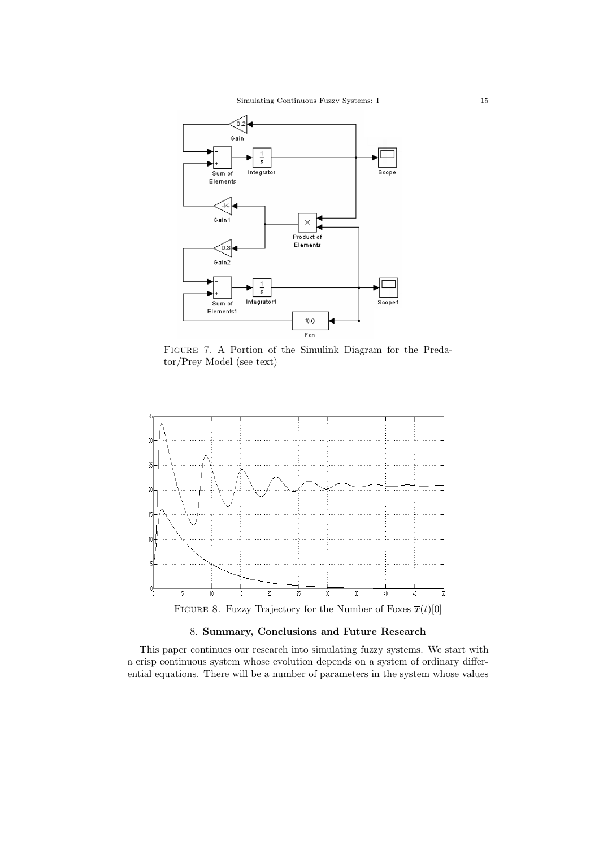

Figure 7. A Portion of the Simulink Diagram for the Predator/Prey Model (see text)



FIGURE 8. Fuzzy Trajectory for the Number of Foxes  $\overline{x}(t)[0]$ 

# 8. **Summary, Conclusions and Future Research**

This paper continues our research into simulating fuzzy systems. We start with a crisp continuous system whose evolution depends on a system of ordinary differential equations. There will be a number of parameters in the system whose values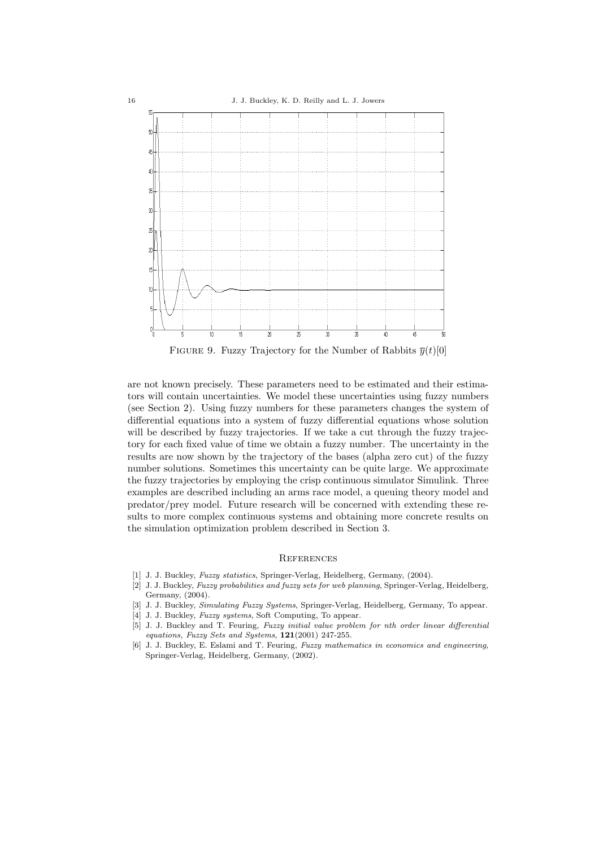

FIGURE 9. Fuzzy Trajectory for the Number of Rabbits  $\overline{y}(t)[0]$ 

are not known precisely. These parameters need to be estimated and their estimators will contain uncertainties. We model these uncertainties using fuzzy numbers (see Section 2). Using fuzzy numbers for these parameters changes the system of differential equations into a system of fuzzy differential equations whose solution will be described by fuzzy trajectories. If we take a cut through the fuzzy trajectory for each fixed value of time we obtain a fuzzy number. The uncertainty in the results are now shown by the trajectory of the bases (alpha zero cut) of the fuzzy number solutions. Sometimes this uncertainty can be quite large. We approximate the fuzzy trajectories by employing the crisp continuous simulator Simulink. Three examples are described including an arms race model, a queuing theory model and predator/prey model. Future research will be concerned with extending these results to more complex continuous systems and obtaining more concrete results on the simulation optimization problem described in Section 3.

### **REFERENCES**

- [1] J. J. Buckley, Fuzzy statistics, Springer-Verlag, Heidelberg, Germany, (2004).
- [2] J. J. Buckley, Fuzzy probabilities and fuzzy sets for web planning, Springer-Verlag, Heidelberg, Germany, (2004).
- [3] J. J. Buckley, Simulating Fuzzy Systems, Springer-Verlag, Heidelberg, Germany, To appear.
- [4] J. J. Buckley, *Fuzzy systems*, Soft Computing, To appear.
- [5] J. J. Buckley and T. Feuring, Fuzzy initial value problem for nth order linear differential equations, Fuzzy Sets and Systems, **121**(2001) 247-255.
- [6] J. J. Buckley, E. Eslami and T. Feuring, Fuzzy mathematics in economics and engineering, Springer-Verlag, Heidelberg, Germany, (2002).